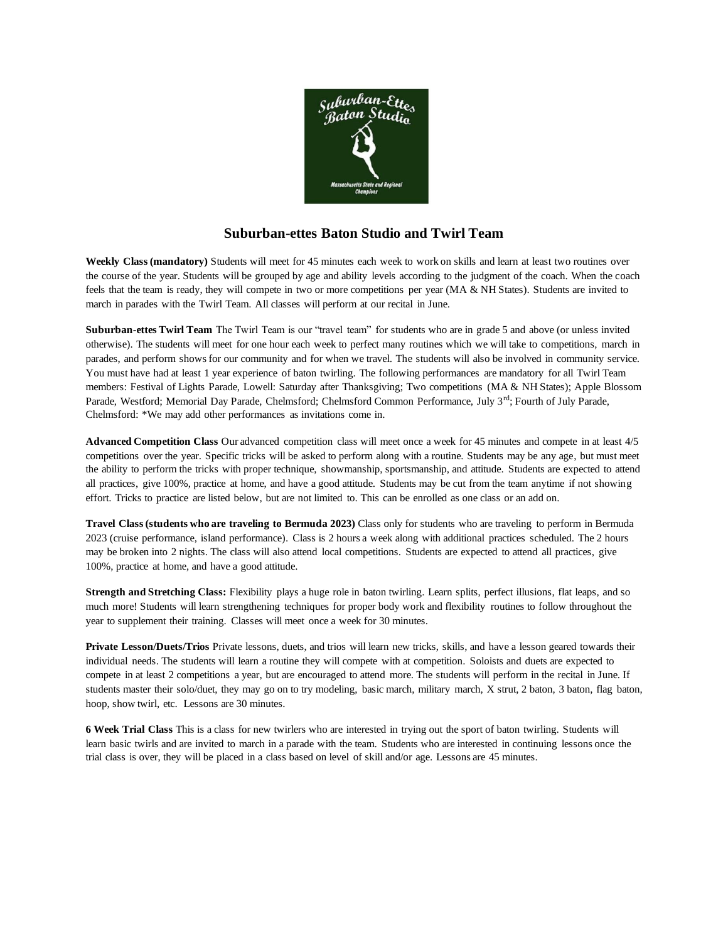

### **Suburban-ettes Baton Studio and Twirl Team**

**Weekly Class (mandatory)** Students will meet for 45 minutes each week to work on skills and learn at least two routines over the course of the year. Students will be grouped by age and ability levels according to the judgment of the coach. When the coach feels that the team is ready, they will compete in two or more competitions per year (MA & NH States). Students are invited to march in parades with the Twirl Team. All classes will perform at our recital in June.

**Suburban-ettes Twirl Team** The Twirl Team is our "travel team" for students who are in grade 5 and above (or unless invited otherwise). The students will meet for one hour each week to perfect many routines which we will take to competitions, march in parades, and perform shows for our community and for when we travel. The students will also be involved in community service. You must have had at least 1 year experience of baton twirling. The following performances are mandatory for all Twirl Team members: Festival of Lights Parade, Lowell: Saturday after Thanksgiving; Two competitions (MA & NH States); Apple Blossom Parade, Westford; Memorial Day Parade, Chelmsford; Chelmsford Common Performance, July 3<sup>rd</sup>; Fourth of July Parade, Chelmsford: \*We may add other performances as invitations come in.

**Advanced Competition Class** Our advanced competition class will meet once a week for 45 minutes and compete in at least 4/5 competitions over the year. Specific tricks will be asked to perform along with a routine. Students may be any age, but must meet the ability to perform the tricks with proper technique, showmanship, sportsmanship, and attitude. Students are expected to attend all practices, give 100%, practice at home, and have a good attitude. Students may be cut from the team anytime if not showing effort. Tricks to practice are listed below, but are not limited to. This can be enrolled as one class or an add on.

**Travel Class (students who are traveling to Bermuda 2023)** Class only for students who are traveling to perform in Bermuda 2023 (cruise performance, island performance). Class is 2 hours a week along with additional practices scheduled. The 2 hours may be broken into 2 nights. The class will also attend local competitions. Students are expected to attend all practices, give 100%, practice at home, and have a good attitude.

**Strength and Stretching Class:** Flexibility plays a huge role in baton twirling. Learn splits, perfect illusions, flat leaps, and so much more! Students will learn strengthening techniques for proper body work and flexibility routines to follow throughout the year to supplement their training. Classes will meet once a week for 30 minutes.

**Private Lesson/Duets/Trios** Private lessons, duets, and trios will learn new tricks, skills, and have a lesson geared towards their individual needs. The students will learn a routine they will compete with at competition. Soloists and duets are expected to compete in at least 2 competitions a year, but are encouraged to attend more. The students will perform in the recital in June. If students master their solo/duet, they may go on to try modeling, basic march, military march, X strut, 2 baton, 3 baton, flag baton, hoop, show twirl, etc. Lessons are 30 minutes.

**6 Week Trial Class** This is a class for new twirlers who are interested in trying out the sport of baton twirling. Students will learn basic twirls and are invited to march in a parade with the team. Students who are interested in continuing lessons once the trial class is over, they will be placed in a class based on level of skill and/or age. Lessons are 45 minutes.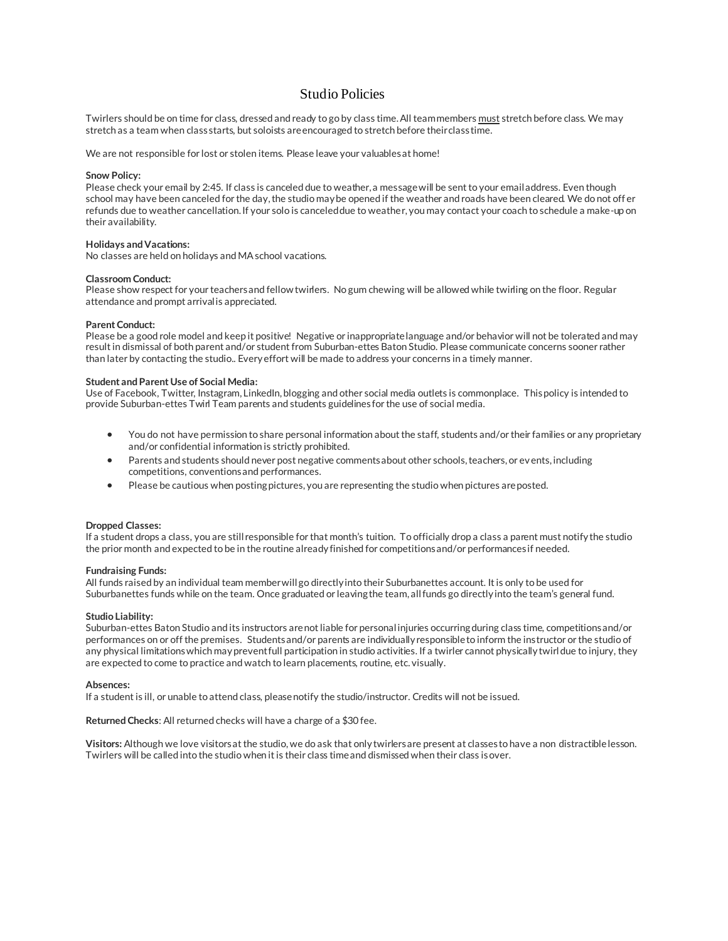### Studio Policies

Twirlers should be on time for class, dressed and ready to go by class time. All team members must stretch before class. We may stretch as a team when class starts, but soloists are encouraged to stretch before their class time.

We are not responsible for lost or stolen items. Please leave your valuables at home!

#### **Snow Policy:**

Please check your email by 2:45. If class is canceled due to weather, a message will be sent to your email address. Even though school may have been canceled for the day, the studio may be opened if the weather and roads have been cleared. We do not off er refunds due to weather cancellation. If your solo is canceled due to weather, you may contact your coach to schedule a make-up on their availability.

#### **Holidays and Vacations:**

No classes are held on holidays and MA school vacations.

#### **Classroom Conduct:**

Please show respect for your teachers and fellow twirlers. No gum chewing will be allowed while twirling on the floor. Regular attendance and prompt arrival is appreciated.

#### **Parent Conduct:**

Please be a good role model and keep it positive! Negative or inappropriate language and/or behavior will not be tolerated and may result in dismissal of both parent and/or student from Suburban-ettes Baton Studio. Please communicate concerns sooner rather than later by contacting the studio.. Every effort will be made to address your concerns in a timely manner.

#### **Student and Parent Use of Social Media:**

Use of Facebook, Twitter, Instagram, LinkedIn, blogging and other social media outlets is commonplace. This policy is intended to provide Suburban-ettes Twirl Team parents and students guidelines for the use of social media.

- You do not have permission to share personal information about the staff, students and/or their families or any proprietary and/or confidential information is strictly prohibited.
- Parents and students should never post negative comments about other schools, teachers, or events, including competitions, conventions and performances.
- Please be cautious when posting pictures, you are representing the studio when pictures are posted.

#### **Dropped Classes:**

If a student drops a class, you are still responsible for that month's tuition. To officially drop a class a parent must notify the studio the prior month and expected to be in the routine already finished for competitions and/or performances if needed.

#### **Fundraising Funds:**

All funds raised by an individual team member will go directly into their Suburbanettes account. It is only to be used for Suburbanettes funds while on the team. Once graduated or leaving the team, all funds go directly into the team's general fund.

#### **Studio Liability:**

Suburban-ettes Baton Studio and its instructors are not liable for personal injuries occurring during class time, competitions and/or performances on or off the premises. Students and/or parents are individually responsible to inform the instructor or the studio of any physical limitations which may prevent full participation in studio activities. If a twirler cannot physically twirl due to injury, they are expected to come to practice and watch to learn placements, routine, etc. visually.

#### **Absences:**

If a student is ill, or unable to attend class, please notify the studio/instructor. Credits will not be issued.

**Returned Checks**: All returned checks will have a charge of a \$30 fee.

**Visitors:** Although we love visitors at the studio, we do ask that only twirlers are present at classes to have a non distractiblelesson. Twirlers will be called into the studio when it is their class time and dismissed when their class is over.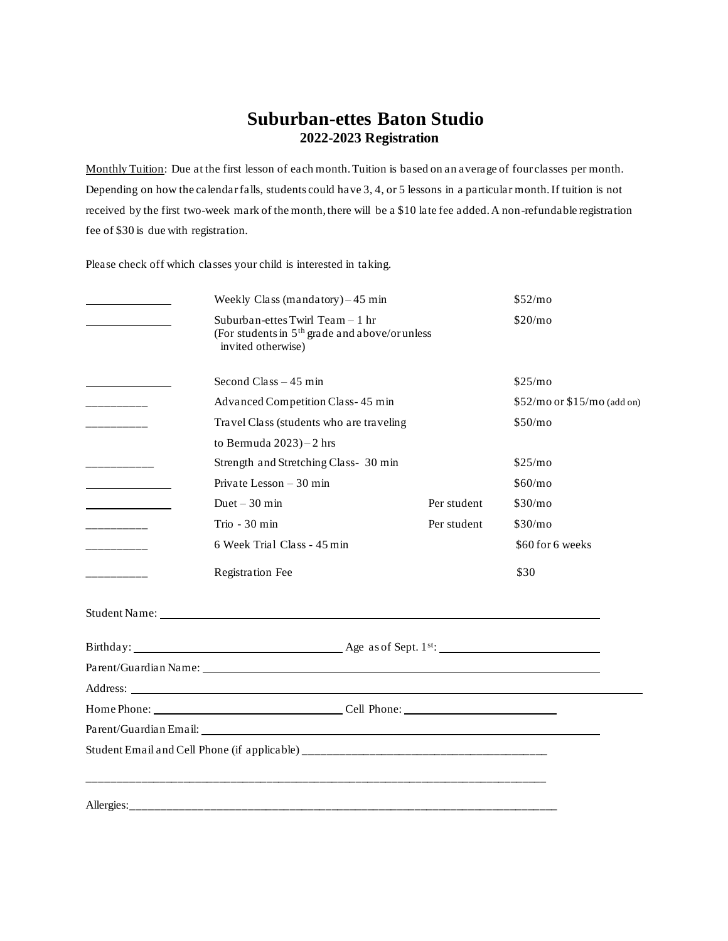## **Suburban-ettes Baton Studio 2022-2023 Registration**

Monthly Tuition: Due at the first lesson of each month. Tuition is based on an average of four classes per month. Depending on how the calendar falls, students could have 3, 4, or 5 lessons in a particular month. If tuition is not received by the first two-week mark of the month, there will be a \$10 late fee added. A non-refundable registration fee of \$30 is due with registration.

Please check off which classes your child is interested in taking.

|            | Weekly Class (mandatory) $-45$ min                                                                                                                                                                                             |             | \$52/mo                       |
|------------|--------------------------------------------------------------------------------------------------------------------------------------------------------------------------------------------------------------------------------|-------------|-------------------------------|
|            | Suburban-ettes Twirl Team - 1 hr<br>(For students in 5 <sup>th</sup> grade and above/or unless<br>invited otherwise)                                                                                                           |             | \$20/mo                       |
|            | Second Class $-45$ min                                                                                                                                                                                                         |             | \$25/m <sub>o</sub>           |
|            | Advanced Competition Class-45 min                                                                                                                                                                                              |             | $$52/mo$ or $$15/mo$ (add on) |
| _________  | Travel Class (students who are traveling                                                                                                                                                                                       |             | \$50/mo                       |
|            | to Bermuda $2023$ ) $-2$ hrs                                                                                                                                                                                                   |             |                               |
| _________  | Strength and Stretching Class- 30 min                                                                                                                                                                                          |             | \$25/mo                       |
|            | Private Lesson - 30 min                                                                                                                                                                                                        |             | \$60/mo                       |
|            | Duet $-30$ min                                                                                                                                                                                                                 | Per student | \$30/mo                       |
| __________ | Trio - 30 min                                                                                                                                                                                                                  | Per student | \$30/mo                       |
|            | 6 Week Trial Class - 45 min                                                                                                                                                                                                    |             | \$60 for 6 weeks              |
| __________ | <b>Registration Fee</b>                                                                                                                                                                                                        |             | \$30                          |
|            | Student Name: Name and Student Name and Student Name and Student Name and Student Name and Student Name and Student Student Student Student Student Student Student Student Student Student Student Student Student Student St |             |                               |
|            |                                                                                                                                                                                                                                |             |                               |
|            | Parent/Guardian Name: 1986 and 2008 and 2008 and 2008 and 2008 and 2008 and 2008 and 2008 and 2008 and 2008 and 2008 and 2008 and 2008 and 2008 and 2008 and 2008 and 2008 and 2008 and 2008 and 2008 and 2008 and 2008 and 20 |             |                               |
|            | Address: Note that the contract of the contract of the contract of the contract of the contract of the contract of the contract of the contract of the contract of the contract of the contract of the contract of the contrac |             |                               |
|            |                                                                                                                                                                                                                                |             |                               |
|            |                                                                                                                                                                                                                                |             |                               |
|            |                                                                                                                                                                                                                                |             |                               |
|            |                                                                                                                                                                                                                                |             |                               |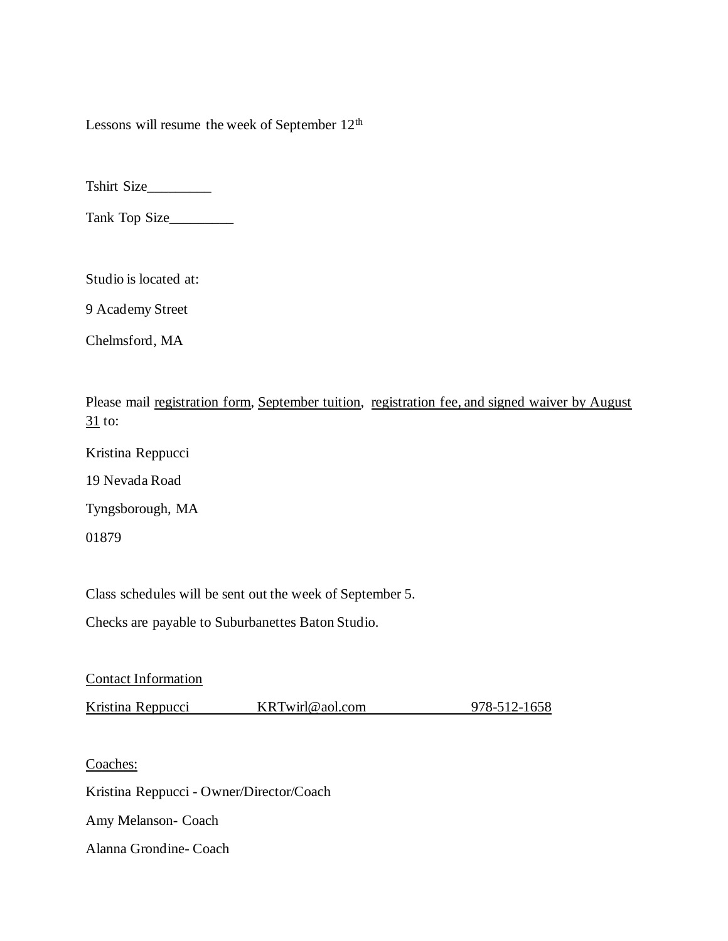Lessons will resume the week of September 12<sup>th</sup>

Tshirt Size\_\_\_\_\_\_\_\_\_

Tank Top Size\_\_\_\_\_\_\_\_\_

Studio is located at:

9 Academy Street

Chelmsford, MA

Please mail registration form, September tuition, registration fee, and signed waiver by August 31 to:

Kristina Reppucci

19 Nevada Road

Tyngsborough, MA

01879

Class schedules will be sent out the week of September 5.

Checks are payable to Suburbanettes Baton Studio.

Contact Information

Kristina Reppucci KRTwirl@aol.com 978-512-1658

Coaches:

Kristina Reppucci - Owner/Director/Coach

Amy Melanson- Coach

Alanna Grondine- Coach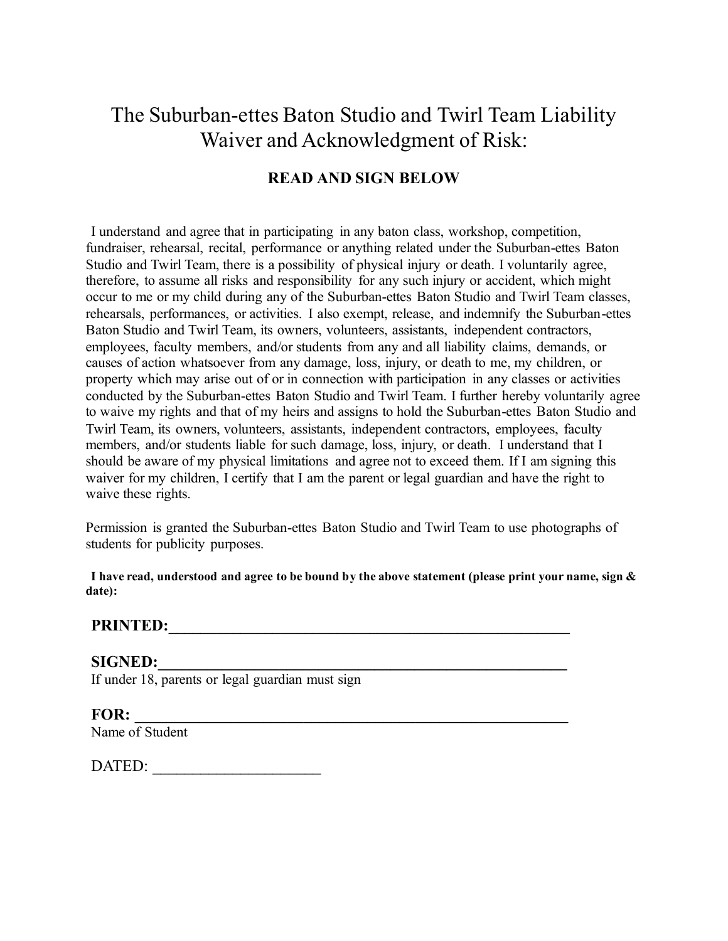# The Suburban-ettes Baton Studio and Twirl Team Liability Waiver and Acknowledgment of Risk:

## **READ AND SIGN BELOW**

I understand and agree that in participating in any baton class, workshop, competition, fundraiser, rehearsal, recital, performance or anything related under the Suburban-ettes Baton Studio and Twirl Team, there is a possibility of physical injury or death. I voluntarily agree, therefore, to assume all risks and responsibility for any such injury or accident, which might occur to me or my child during any of the Suburban-ettes Baton Studio and Twirl Team classes, rehearsals, performances, or activities. I also exempt, release, and indemnify the Suburban-ettes Baton Studio and Twirl Team, its owners, volunteers, assistants, independent contractors, employees, faculty members, and/or students from any and all liability claims, demands, or causes of action whatsoever from any damage, loss, injury, or death to me, my children, or property which may arise out of or in connection with participation in any classes or activities conducted by the Suburban-ettes Baton Studio and Twirl Team. I further hereby voluntarily agree to waive my rights and that of my heirs and assigns to hold the Suburban-ettes Baton Studio and Twirl Team, its owners, volunteers, assistants, independent contractors, employees, faculty members, and/or students liable for such damage, loss, injury, or death. I understand that I should be aware of my physical limitations and agree not to exceed them. If I am signing this waiver for my children, I certify that I am the parent or legal guardian and have the right to waive these rights.

Permission is granted the Suburban-ettes Baton Studio and Twirl Team to use photographs of students for publicity purposes.

**I have read, understood and agree to be bound by the above statement (please print your name, sign & date):**

## **PRINTED:\_\_\_\_\_\_\_\_\_\_\_\_\_\_\_\_\_\_\_\_\_\_\_\_\_\_\_\_\_\_\_\_\_\_\_\_\_\_\_\_\_\_\_\_\_\_\_\_\_\_**

**SIGNED:\_\_\_\_\_\_\_\_\_\_\_\_\_\_\_\_\_\_\_\_\_\_\_\_\_\_\_\_\_\_\_\_\_\_\_\_\_\_\_\_\_\_\_\_\_\_\_\_\_\_\_** If under 18, parents or legal guardian must sign

**FOR: \_\_\_\_\_\_\_\_\_\_\_\_\_\_\_\_\_\_\_\_\_\_\_\_\_\_\_\_\_\_\_\_\_\_\_\_\_\_\_\_\_\_\_\_\_\_\_\_\_\_\_\_\_\_** Name of Student

DATED: \_\_\_\_\_\_\_\_\_\_\_\_\_\_\_\_\_\_\_\_\_